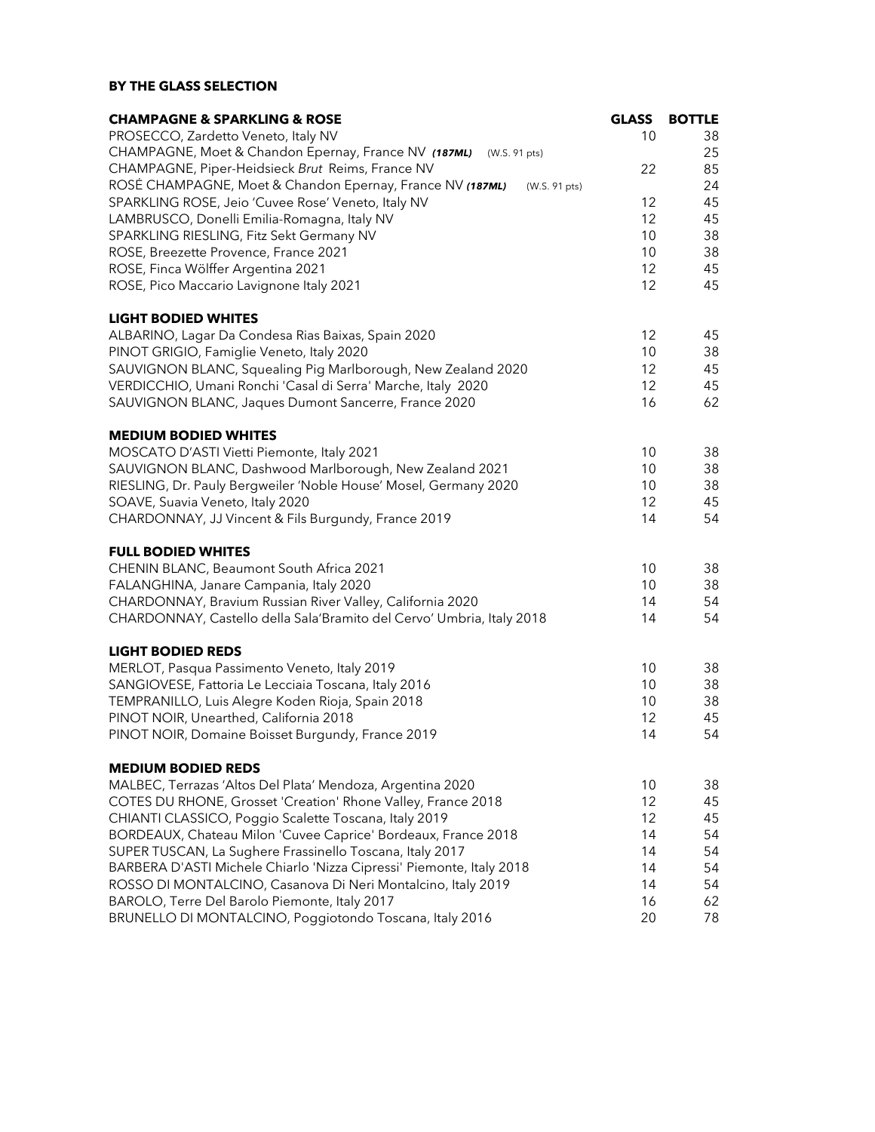# BY THE GLASS SELECTION

| <b>CHAMPAGNE &amp; SPARKLING &amp; ROSE</b>                                | <b>GLASS</b> | <b>BOTTLE</b> |
|----------------------------------------------------------------------------|--------------|---------------|
| PROSECCO, Zardetto Veneto, Italy NV                                        | 10           | 38            |
| CHAMPAGNE, Moet & Chandon Epernay, France NV (187ML)<br>(W.S. 91 pts)      |              | 25            |
| CHAMPAGNE, Piper-Heidsieck Brut Reims, France NV                           | 22           | 85            |
| ROSÉ CHAMPAGNE, Moet & Chandon Epernay, France NV (187ML)<br>(W.S. 91 pts) |              | 24            |
| SPARKLING ROSE, Jeio 'Cuvee Rose' Veneto, Italy NV                         | 12           | 45            |
| LAMBRUSCO, Donelli Emilia-Romagna, Italy NV                                | 12           | 45            |
| SPARKLING RIESLING, Fitz Sekt Germany NV                                   | 10           | 38            |
| ROSE, Breezette Provence, France 2021                                      | 10           | 38            |
| ROSE, Finca Wölffer Argentina 2021                                         | 12           | 45            |
| ROSE, Pico Maccario Lavignone Italy 2021                                   | 12           | 45            |
| <b>LIGHT BODIED WHITES</b>                                                 |              |               |
| ALBARINO, Lagar Da Condesa Rias Baixas, Spain 2020                         | 12           | 45            |
| PINOT GRIGIO, Famiglie Veneto, Italy 2020                                  | 10           | 38            |
| SAUVIGNON BLANC, Squealing Pig Marlborough, New Zealand 2020               | 12           | 45            |
| VERDICCHIO, Umani Ronchi 'Casal di Serra' Marche, Italy 2020               | 12           | 45            |
| SAUVIGNON BLANC, Jaques Dumont Sancerre, France 2020                       | 16           | 62            |
| <b>MEDIUM BODIED WHITES</b>                                                |              |               |
| MOSCATO D'ASTI Vietti Piemonte, Italy 2021                                 | 10           | 38            |
| SAUVIGNON BLANC, Dashwood Marlborough, New Zealand 2021                    | 10           | 38            |
| RIESLING, Dr. Pauly Bergweiler 'Noble House' Mosel, Germany 2020           | 10           | 38            |
| SOAVE, Suavia Veneto, Italy 2020                                           | 12           | 45            |
| CHARDONNAY, JJ Vincent & Fils Burgundy, France 2019                        | 14           | 54            |
| <b>FULL BODIED WHITES</b>                                                  |              |               |
| CHENIN BLANC, Beaumont South Africa 2021                                   | 10           | 38            |
| FALANGHINA, Janare Campania, Italy 2020                                    | 10           | 38            |
| CHARDONNAY, Bravium Russian River Valley, California 2020                  | 14           | 54            |
| CHARDONNAY, Castello della Sala'Bramito del Cervo' Umbria, Italy 2018      | 14           | 54            |
| <b>LIGHT BODIED REDS</b>                                                   |              |               |
| MERLOT, Pasqua Passimento Veneto, Italy 2019                               | 10           | 38            |
| SANGIOVESE, Fattoria Le Lecciaia Toscana, Italy 2016                       | 10           | 38            |
| TEMPRANILLO, Luis Alegre Koden Rioja, Spain 2018                           | 10           | 38            |
| PINOT NOIR, Unearthed, California 2018                                     | 12           | 45            |
| PINOT NOIR, Domaine Boisset Burgundy, France 2019                          | 14           | 54            |
| <b>MEDIUM BODIED REDS</b>                                                  |              |               |
| MALBEC, Terrazas 'Altos Del Plata' Mendoza, Argentina 2020                 | 10           | 38            |
| COTES DU RHONE, Grosset 'Creation' Rhone Valley, France 2018               | 12           | 45            |
| CHIANTI CLASSICO, Poggio Scalette Toscana, Italy 2019                      | 12           | 45            |
| BORDEAUX, Chateau Milon 'Cuvee Caprice' Bordeaux, France 2018              | 14           | 54            |
| SUPER TUSCAN, La Sughere Frassinello Toscana, Italy 2017                   | 14           | 54            |
| BARBERA D'ASTI Michele Chiarlo 'Nizza Cipressi' Piemonte, Italy 2018       | 14           | 54            |
| ROSSO DI MONTALCINO, Casanova Di Neri Montalcino, Italy 2019               | 14           | 54            |
| BAROLO, Terre Del Barolo Piemonte, Italy 2017                              | 16           | 62            |
| BRUNELLO DI MONTALCINO, Poggiotondo Toscana, Italy 2016                    | 20           | 78            |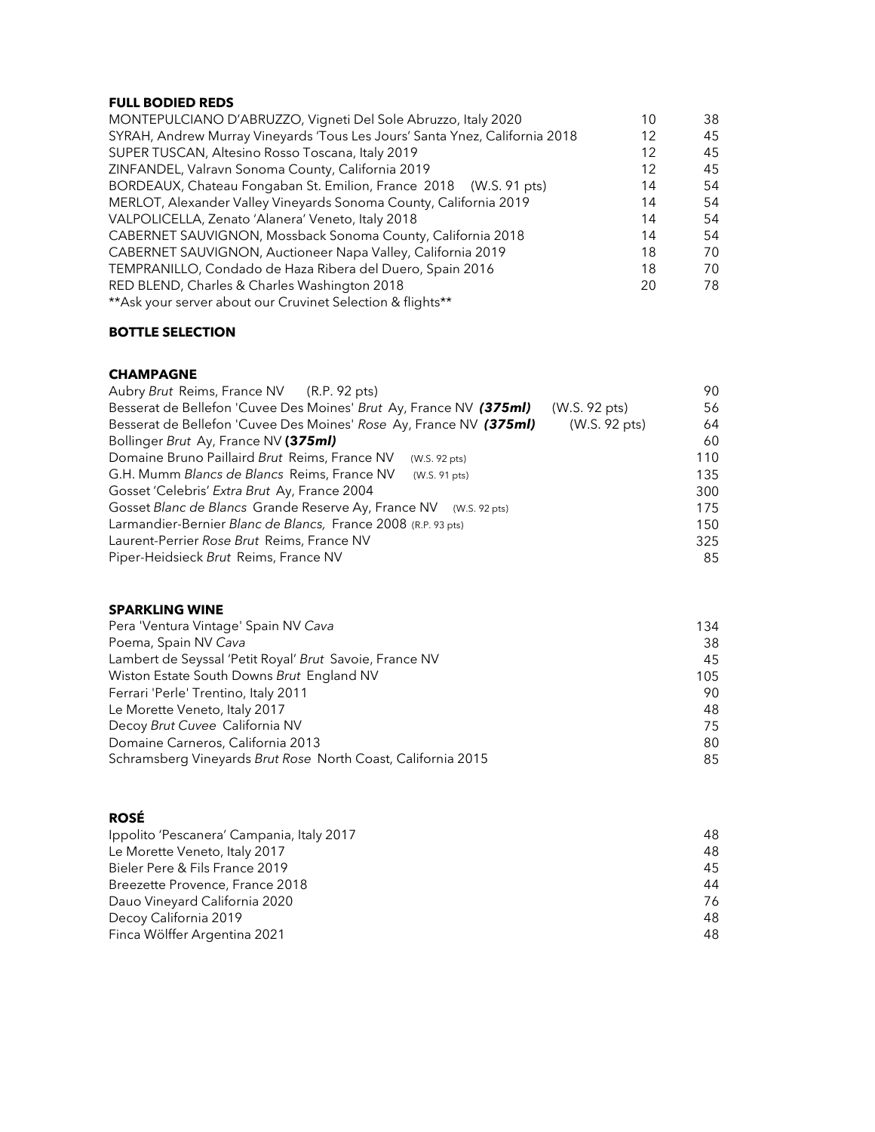### FULL BODIED REDS

| MONTEPULCIANO D'ABRUZZO, Vigneti Del Sole Abruzzo, Italy 2020               | 10 | 38 |
|-----------------------------------------------------------------------------|----|----|
| SYRAH, Andrew Murray Vineyards 'Tous Les Jours' Santa Ynez, California 2018 | 12 | 45 |
| SUPER TUSCAN, Altesino Rosso Toscana, Italy 2019                            | 12 | 45 |
| ZINFANDEL, Valravn Sonoma County, California 2019                           | 12 | 45 |
| BORDEAUX, Chateau Fongaban St. Emilion, France 2018 (W.S. 91 pts)           | 14 | 54 |
| MERLOT, Alexander Valley Vineyards Sonoma County, California 2019           | 14 | 54 |
| VALPOLICELLA, Zenato 'Alanera' Veneto, Italy 2018                           | 14 | 54 |
| CABERNET SAUVIGNON, Mossback Sonoma County, California 2018                 | 14 | 54 |
| CABERNET SAUVIGNON, Auctioneer Napa Valley, California 2019                 | 18 | 70 |
| TEMPRANILLO, Condado de Haza Ribera del Duero, Spain 2016                   | 18 | 70 |
| RED BLEND, Charles & Charles Washington 2018                                | 20 | 78 |
| ** Ask your server about our Cruvinet Selection & flights**                 |    |    |

# BOTTLE SELECTION

#### CHAMPAGNE

| Aubry Brut Reims, France NV (R.P. 92 pts)                          |               | 90  |
|--------------------------------------------------------------------|---------------|-----|
| Besserat de Bellefon 'Cuvee Des Moines' Brut Ay, France NV (375ml) | (W.S. 92 pts) | 56  |
| Besserat de Bellefon 'Cuvee Des Moines' Rose Ay, France NV (375ml) | (W.S. 92 pts) | 64  |
| Bollinger Brut Ay, France NV (375ml)                               |               | 60  |
| Domaine Bruno Paillaird Brut Reims, France NV<br>(W.S. 92 pts)     |               | 110 |
| G.H. Mumm Blancs de Blancs Reims, France NV<br>(W.S. 91 pts)       |               | 135 |
| Gosset 'Celebris' Extra Brut Ay, France 2004                       |               | 300 |
| Gosset Blanc de Blancs Grande Reserve Ay, France NV (W.S. 92 pts)  |               | 175 |
| Larmandier-Bernier Blanc de Blancs, France 2008 (R.P. 93 pts)      |               | 150 |
| Laurent-Perrier Rose Brut Reims, France NV                         |               | 325 |
| Piper-Heidsieck Brut Reims, France NV                              |               | 85  |

#### SPARKLING WINE

| Pera 'Ventura Vintage' Spain NV Cava                         | 134 |
|--------------------------------------------------------------|-----|
| Poema, Spain NV Cava                                         | 38  |
| Lambert de Seyssal 'Petit Royal' Brut Savoie, France NV      | 45  |
| Wiston Estate South Downs Brut England NV                    | 105 |
| Ferrari 'Perle' Trentino, Italy 2011                         | 90  |
| Le Morette Veneto, Italy 2017                                | 48  |
| Decoy Brut Cuvee California NV                               | 75  |
| Domaine Carneros, California 2013                            | 80  |
| Schramsberg Vineyards Brut Rose North Coast, California 2015 | 85  |

# ROSÉ

| Ippolito 'Pescanera' Campania, Italy 2017 | 48. |
|-------------------------------------------|-----|
| Le Morette Veneto, Italy 2017             | 48  |
| Bieler Pere & Fils France 2019            | 45  |
| Breezette Provence, France 2018           | 44  |
| Dauo Vineyard California 2020             | 76  |
| Decoy California 2019                     | 48  |
| Finca Wölffer Argentina 2021              | 48  |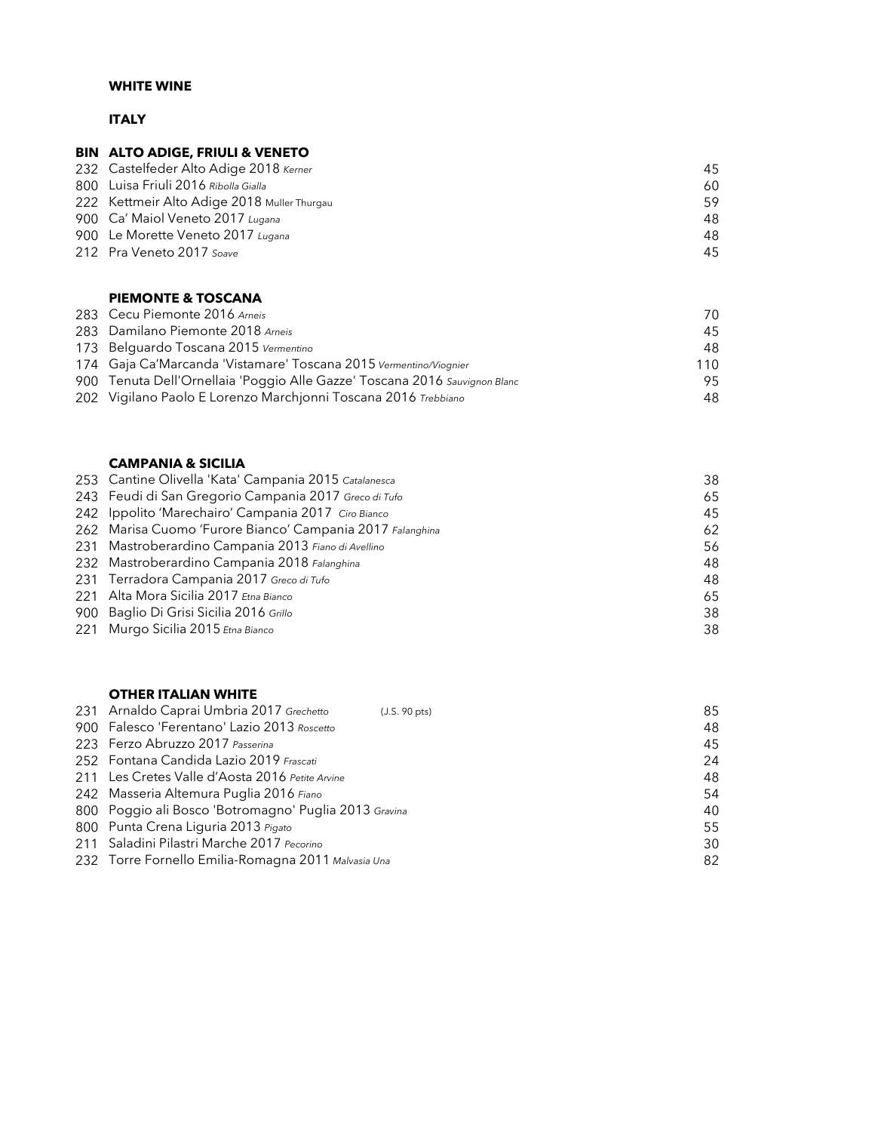# WHITE WINE

# ITALY

# BIN ALTO ADIGE, FRIULI & VENETO

| 232 Castelfeder Alto Adige 2018 Kerner      | 45 |
|---------------------------------------------|----|
| 800 Luisa Friuli 2016 Ribolla Gialla        | 60 |
| 222 Kettmeir Alto Adige 2018 Muller Thurgau | 59 |
| 900 Ca' Maiol Veneto 2017 Lugana            | 48 |
| 900 Le Morette Veneto 2017 Lugana           | 48 |
| 212 Pra Veneto 2017 Soave                   | 45 |

### PIEMONTE & TOSCANA

| 283 Cecu Piemonte 2016 Arneis                                              | 70  |
|----------------------------------------------------------------------------|-----|
| 283 Damilano Piemonte 2018 Arneis                                          | 45  |
| 173 Belguardo Toscana 2015 Vermentino                                      | 48  |
| 174 Gaja Ca'Marcanda 'Vistamare' Toscana 2015 Vermentino/Viognier          | 110 |
| 900 Tenuta Dell'Ornellaia 'Poggio Alle Gazze' Toscana 2016 Sauvignon Blanc | 95  |
| 202 Vigilano Paolo E Lorenzo Marchionni Toscana 2016 Trebbiano             | 48  |

#### CAMPANIA & SICILIA

| 253 Cantine Olivella 'Kata' Campania 2015 Catalanesca     | 38 |
|-----------------------------------------------------------|----|
| 243 Feudi di San Gregorio Campania 2017 Greco di Tufo     | 65 |
| 242 Ippolito 'Marechairo' Campania 2017 Ciro Bianco       | 45 |
| 262 Marisa Cuomo 'Furore Bianco' Campania 2017 Falanghina | 62 |
| 231 Mastroberardino Campania 2013 Fiano di Avellino       | 56 |
| 232 Mastroberardino Campania 2018 Falanghina              | 48 |
| 231 Terradora Campania 2017 Greco di Tufo                 | 48 |
| 221 Alta Mora Sicilia 2017 Etna Bianco                    | 65 |
| 900 Baglio Di Grisi Sicilia 2016 Grillo                   | 38 |
| 221 Murgo Sicilia 2015 Etna Bianco                        | 38 |

#### OTHER ITALIAN WHITE

| 231 Arnaldo Caprai Umbria 2017 Grechetto              | (J.S. 90 pts) | 85 |
|-------------------------------------------------------|---------------|----|
| 900 Falesco 'Ferentano' Lazio 2013 Roscetto           |               | 48 |
| 223 Ferzo Abruzzo 2017 Passerina                      |               | 45 |
| 252 Fontana Candida Lazio 2019 Frascati               |               | 24 |
| 211 Les Cretes Valle d'Aosta 2016 Petite Arvine       |               | 48 |
| 242 Masseria Altemura Puglia 2016 Fiano               |               | 54 |
| 800 Poggio ali Bosco 'Botromagno' Puglia 2013 Gravina |               | 40 |
| 800 Punta Crena Liguria 2013 Pigato                   |               | 55 |
| 211 Saladini Pilastri Marche 2017 Pecorino            |               | 30 |
| 232 Torre Fornello Emilia-Romagna 2011 Malvasia Una   |               | 82 |
|                                                       |               |    |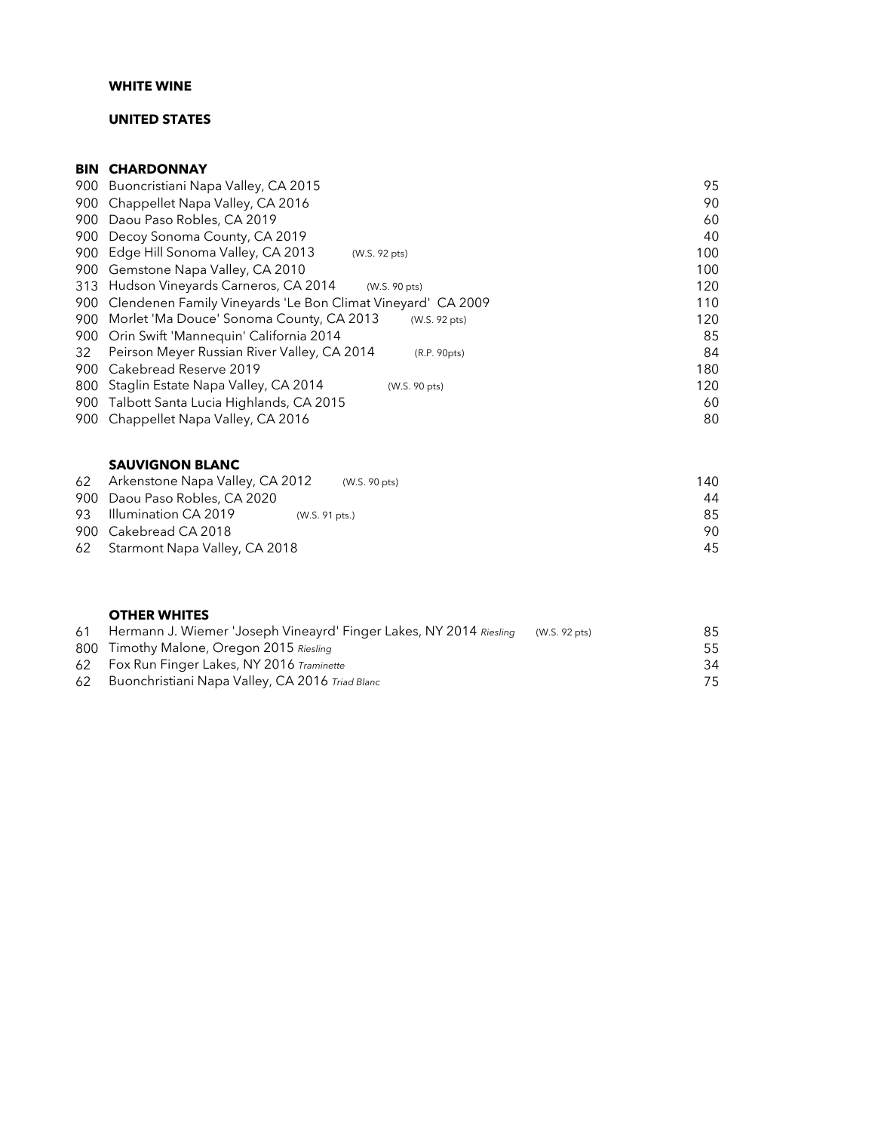#### WHITE WINE

# UNITED STATES

# **BIN CHARDONNAY**

| 90<br>60<br>40<br>100 |
|-----------------------|
|                       |
|                       |
|                       |
|                       |
| 100                   |
| 120                   |
| 110                   |
| 120                   |
| 85                    |
| 84                    |
| 180                   |
| 120                   |
| 60                    |
| 80                    |
|                       |

#### SAUVIGNON BLANC

| 62 Arkenstone Napa Valley, CA 2012<br>(W.S. 90 pts) | 140 |
|-----------------------------------------------------|-----|
| 900 Daou Paso Robles, CA 2020                       | 44  |
| 93 Illumination CA 2019<br>(W.S. 91 pts.)           | 85  |
| 900 Cakebread CA 2018                               | 90. |
| 62 Starmont Napa Valley, CA 2018                    | 45  |

#### OTHER WHITES

|    | 61 Hermann J. Wiemer 'Joseph Vineayrd' Finger Lakes, NY 2014 Riesling | (W.S. 92 pts) | 85  |
|----|-----------------------------------------------------------------------|---------------|-----|
|    | 800 Timothy Malone, Oregon 2015 Riesling                              |               | 55  |
|    | 62 Fox Run Finger Lakes, NY 2016 Traminette                           |               | 34  |
| 62 | Buonchristiani Napa Valley, CA 2016 Triad Blanc                       |               | 75. |
|    |                                                                       |               |     |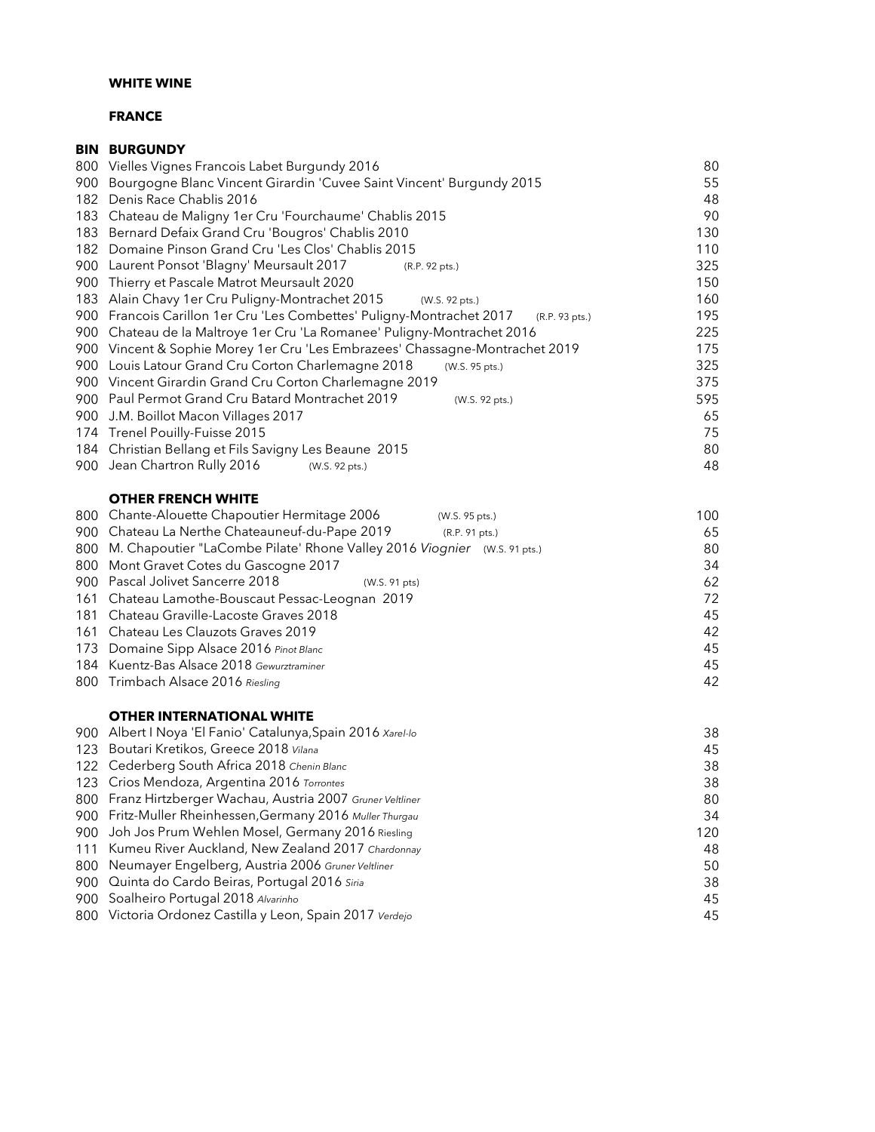# WHITE WINE

# FRANCE

|      | <b>BIN BURGUNDY</b>                                                                  |     |
|------|--------------------------------------------------------------------------------------|-----|
|      | 800 Vielles Vignes Francois Labet Burgundy 2016                                      | 80  |
| 900. | Bourgogne Blanc Vincent Girardin 'Cuvee Saint Vincent' Burgundy 2015                 | 55  |
|      | 182 Denis Race Chablis 2016                                                          | 48  |
|      | 183 Chateau de Maligny 1er Cru 'Fourchaume' Chablis 2015                             | 90  |
|      | 183 Bernard Defaix Grand Cru 'Bougros' Chablis 2010                                  | 130 |
|      | 182 Domaine Pinson Grand Cru 'Les Clos' Chablis 2015                                 | 110 |
|      | 900 Laurent Ponsot 'Blagny' Meursault 2017<br>(R.P. 92 pts.)                         | 325 |
|      | 900 Thierry et Pascale Matrot Meursault 2020                                         | 150 |
|      | 183 Alain Chavy 1er Cru Puligny-Montrachet 2015<br>(W.S. 92 pts.)                    | 160 |
|      | 900 Francois Carillon 1er Cru 'Les Combettes' Puligny-Montrachet 2017 (R.P. 93 pts.) | 195 |
|      | 900 Chateau de la Maltroye 1er Cru 'La Romanee' Puligny-Montrachet 2016              | 225 |
|      | 900 Vincent & Sophie Morey 1er Cru 'Les Embrazees' Chassagne-Montrachet 2019         | 175 |
|      | 900 Louis Latour Grand Cru Corton Charlemagne 2018<br>(W.S. 95 pts.)                 | 325 |
|      | 900 Vincent Girardin Grand Cru Corton Charlemagne 2019                               | 375 |
|      | 900 Paul Permot Grand Cru Batard Montrachet 2019<br>(W.S. 92 pts.)                   | 595 |
|      | 900 J.M. Boillot Macon Villages 2017                                                 | 65  |
|      | 174 Trenel Pouilly-Fuisse 2015                                                       | 75  |
|      | 184 Christian Bellang et Fils Savigny Les Beaune 2015                                | 80  |
|      | 900 Jean Chartron Rully 2016<br>(W.S. 92 pts.)                                       | 48  |
|      | <b>OTHER FRENCH WHITE</b>                                                            |     |
|      | 800 Chante-Alouette Chapoutier Hermitage 2006<br>(W.S. 95 pts.)                      | 100 |
| 900  | Chateau La Nerthe Chateauneuf-du-Pape 2019<br>(R.P. 91 pts.)                         | 65  |
| 800  | M. Chapoutier "LaCombe Pilate' Rhone Valley 2016 Viognier (W.S. 91 pts.)             | 80  |
| 800  | Mont Gravet Cotes du Gascogne 2017                                                   | 34  |
| 900  | Pascal Jolivet Sancerre 2018<br>(W.S. 91 pts)                                        | 62  |
| 161  | Chateau Lamothe-Bouscaut Pessac-Leognan 2019                                         | 72  |
| 181  | Chateau Graville-Lacoste Graves 2018                                                 | 45  |
|      | 161 Chateau Les Clauzots Graves 2019                                                 | 42  |
|      | 173 Domaine Sipp Alsace 2016 Pinot Blanc                                             | 45  |
|      | 184 Kuentz-Bas Alsace 2018 Gewurztraminer                                            | 45  |
|      | 800 Trimbach Alsace 2016 Riesling                                                    | 42  |
|      | <b>OTHER INTERNATIONAL WHITE</b>                                                     |     |
|      | 900 Albert I Noya 'El Fanio' Catalunya, Spain 2016 Xarel-lo                          | 38  |
|      | 123 Boutari Kretikos, Greece 2018 Vilana                                             | 45  |
|      | 122 Cederberg South Africa 2018 Chenin Blanc                                         | 38  |
|      | 123 Crios Mendoza, Argentina 2016 Torrontes                                          | 38  |
| 800  | Franz Hirtzberger Wachau, Austria 2007 Gruner Veltliner                              | 80  |
| 900  | Fritz-Muller Rheinhessen, Germany 2016 Muller Thurgau                                | 34  |
| 900  | Joh Jos Prum Wehlen Mosel, Germany 2016 Riesling                                     | 120 |
| 111  | Kumeu River Auckland, New Zealand 2017 Chardonnay                                    | 48  |
| 800  | Neumayer Engelberg, Austria 2006 Gruner Veltliner                                    | 50  |
| 900  | Quinta do Cardo Beiras, Portugal 2016 Siria                                          | 38  |
| 900  | Soalheiro Portugal 2018 Alvarinho                                                    | 45  |
|      | 800 Victoria Ordonez Castilla y Leon, Spain 2017 Verdejo                             | 45  |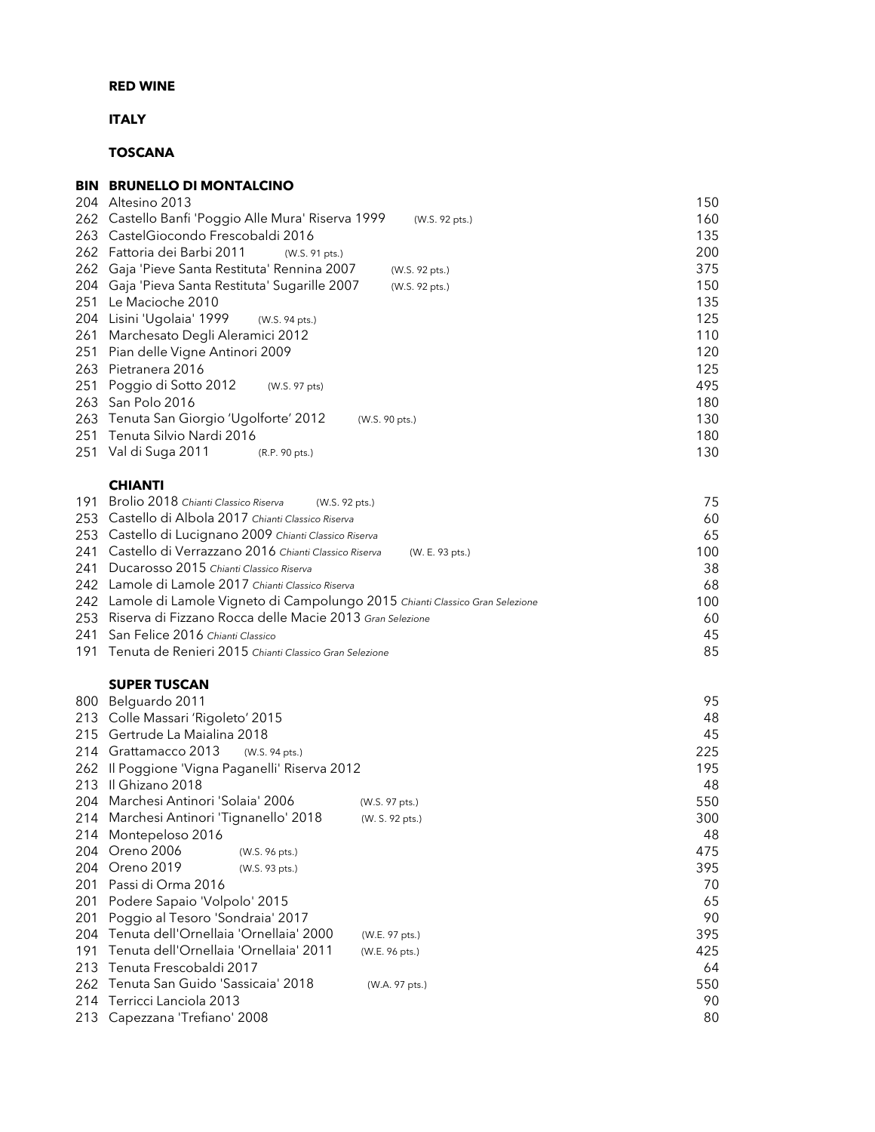# ITALY

# TOSCANA

### BIN BRUNELLO DI MONTALCINO Altesino 2013 150 Castello Banfi 'Poggio Alle Mura' Riserva 1999 (W.S. 92 pts.) 160 263 CastelGiocondo Frescobaldi 2016 Fattoria dei Barbi 2011 (W.S. 91 pts.) 200 Gaja 'Pieve Santa Restituta' Rennina 2007 (W.S. 92 pts.) 375 Gaja 'Pieva Santa Restituta' Sugarille 2007 (W.S. 92 pts.) 150 Le Macioche 2010 135 Lisini 'Ugolaia' 1999 (W.S. 94 pts.) 125 Marchesato Degli Aleramici 2012 110 Pian delle Vigne Antinori 2009 120 263 Pietranera 2016 125 Poggio di Sotto 2012 (W.S. 97 pts) 495 San Polo 2016 180 Tenuta San Giorgio 'Ugolforte' 2012 (W.S. 90 pts.) 130 Tenuta Silvio Nardi 2016 180 Val di Suga 2011 (R.P. 90 pts.) 130

#### CHIANTI

| 191 Brolio 2018 Chianti Classico Riserva<br>(W.S. 92 pts.)                      | 75  |
|---------------------------------------------------------------------------------|-----|
| 253 Castello di Albola 2017 Chianti Classico Riserva                            | 60  |
| 253 Castello di Lucignano 2009 Chianti Classico Riserva                         | 65  |
| 241 Castello di Verrazzano 2016 Chianti Classico Riserva<br>(W. E. 93 pts.)     | 100 |
| 241 Ducarosso 2015 Chianti Classico Riserva                                     | 38  |
| 242 Lamole di Lamole 2017 Chianti Classico Riserva                              | 68  |
| 242 Lamole di Lamole Vigneto di Campolungo 2015 Chianti Classico Gran Selezione | 100 |
| 253 Riserva di Fizzano Rocca delle Macie 2013 Gran Selezione                    | 60  |
| 241 San Felice 2016 Chianti Classico                                            | 45  |
| 191 Tenuta de Renieri 2015 Chianti Classico Gran Selezione                      | 85  |

# SUPER TUSCAN

| 800 | Belguardo 2011                             |                 | 95  |
|-----|--------------------------------------------|-----------------|-----|
| 213 | Colle Massari 'Rigoleto' 2015              |                 | 48  |
| 215 | Gertrude La Maialina 2018                  |                 | 45  |
| 214 | Grattamacco 2013<br>(W.S. 94 pts.)         |                 | 225 |
| 262 | Il Poggione 'Vigna Paganelli' Riserva 2012 |                 | 195 |
| 213 | Il Ghizano 2018                            |                 | 48  |
| 204 | Marchesi Antinori 'Solaia' 2006            | (W.S. 97 pts.)  | 550 |
| 214 | Marchesi Antinori 'Tignanello' 2018        | (W. S. 92 pts.) | 300 |
| 214 | Montepeloso 2016                           |                 | 48  |
| 204 | Oreno 2006<br>(W.S. 96 pts.)               |                 | 475 |
| 204 | Oreno 2019<br>(W.S. 93 pts.)               |                 | 395 |
| 201 | Passi di Orma 2016                         |                 | 70  |
| 201 | Podere Sapaio 'Volpolo' 2015               |                 | 65  |
| 201 | Poggio al Tesoro 'Sondraia' 2017           |                 | 90  |
| 204 | Tenuta dell'Ornellaia 'Ornellaia' 2000     | (W.E. 97 pts.)  | 395 |
| 191 | Tenuta dell'Ornellaia 'Ornellaia' 2011     | (W.E. 96 pts.)  | 425 |
| 213 | Tenuta Frescobaldi 2017                    |                 | 64  |
|     | 262 Tenuta San Guido 'Sassicaia' 2018      | (W.A. 97 pts.)  | 550 |
| 214 | Terricci Lanciola 2013                     |                 | 90  |
|     | 213 Capezzana 'Trefiano' 2008              |                 | 80  |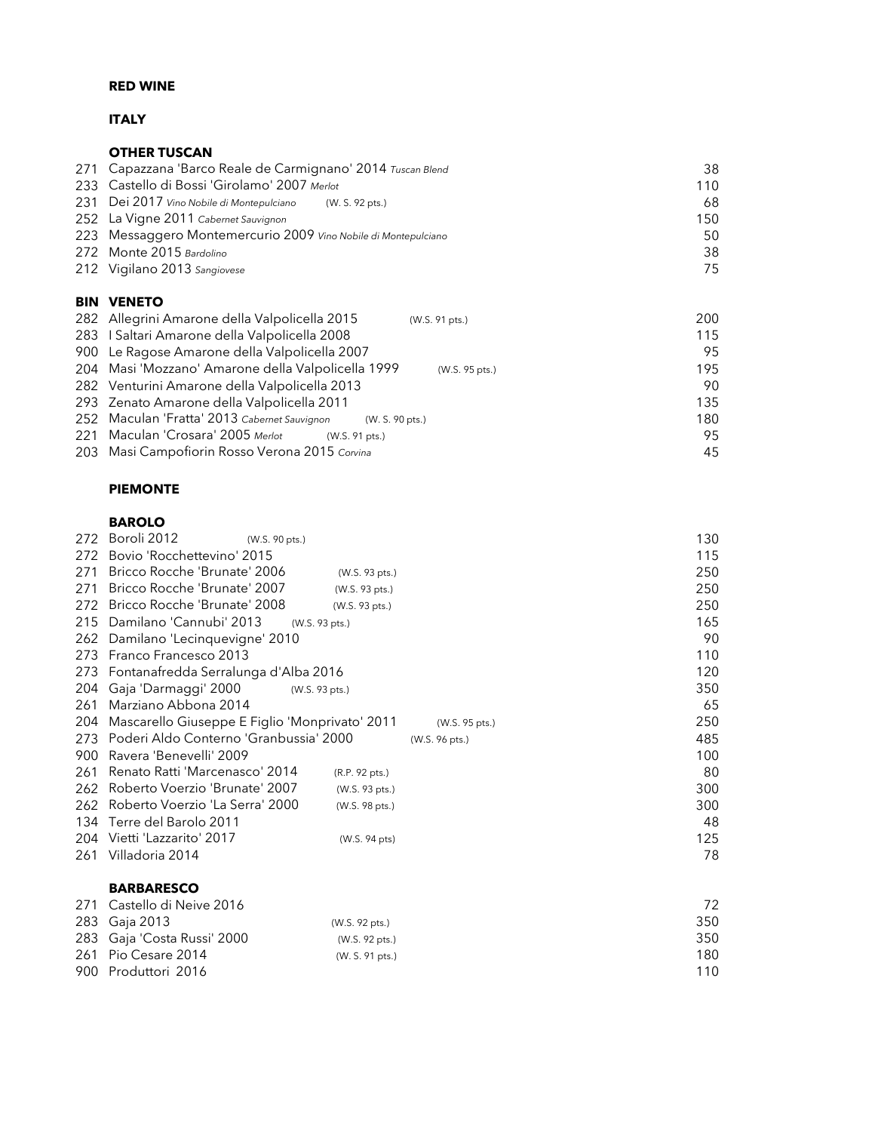# **ITALY**

|     | <b>OTHER TUSCAN</b>                                            |                |     |
|-----|----------------------------------------------------------------|----------------|-----|
| 271 | Capazzana 'Barco Reale de Carmignano' 2014 Tuscan Blend        |                | 38  |
| 233 | Castello di Bossi 'Girolamo' 2007 Merlot                       |                | 110 |
| 231 | Dei 2017 Vino Nobile di Montepulciano<br>(W. S. 92 pts.)       |                | 68  |
|     | 252 La Vigne 2011 Cabernet Sauvignon                           |                | 150 |
|     | 223 Messaggero Montemercurio 2009 Vino Nobile di Montepulciano |                | 50  |
| 272 | Monte 2015 Bardolino                                           |                | 38  |
|     | 212 Vigilano 2013 Sangiovese                                   |                | 75  |
|     |                                                                |                |     |
| BIN | <b>VENETO</b>                                                  |                |     |
| 282 | Allegrini Amarone della Valpolicella 2015                      | (W.S. 91 pts.) | 200 |
| 283 | I Saltari Amarone della Valpolicella 2008                      |                | 115 |
| 900 | Le Ragose Amarone della Valpolicella 2007                      |                | 95  |

| 204 Masi 'Mozzano' Amarone della Valpolicella 1999              | 195<br>(W.S. 95 pts.) |
|-----------------------------------------------------------------|-----------------------|
| 282 Venturini Amarone della Valpolicella 2013                   | 90.                   |
| 293 Zenato Amarone della Valpolicella 2011                      | 135                   |
| 252 Maculan 'Fratta' 2013 Cabernet Sauvignon<br>(W. S. 90 pts.) | 180                   |
| 221 Maculan 'Crosara' 2005 Merlot<br>(W.S. 91 pts.)             | 95                    |
| 203 Masi Campofiorin Rosso Verona 2015 Corvina                  | 45                    |
|                                                                 |                       |

# PIEMONTE

# BAROLO

| 272 | Boroli 2012<br>(W.S. 90 pts.)                     |                | 130 |
|-----|---------------------------------------------------|----------------|-----|
| 272 | Bovio 'Rocchettevino' 2015                        |                | 115 |
| 271 | Bricco Rocche 'Brunate' 2006<br>(W.S. 93 pts.)    |                | 250 |
| 271 | Bricco Rocche 'Brunate' 2007<br>(W.S. 93 pts.)    |                | 250 |
| 272 | Bricco Rocche 'Brunate' 2008<br>(W.S. 93 pts.)    |                | 250 |
| 215 | Damilano 'Cannubi' 2013<br>(W.S. 93 pts.)         |                | 165 |
| 262 | Damilano 'Lecinquevigne' 2010                     |                | 90  |
| 273 | Franco Francesco 2013                             |                | 110 |
| 273 | Fontanafredda Serralunga d'Alba 2016              |                | 120 |
| 204 | Gaja 'Darmaggi' 2000<br>(W.S. 93 pts.)            |                | 350 |
| 261 | Marziano Abbona 2014                              |                | 65  |
| 204 | Mascarello Giuseppe E Figlio 'Monprivato' 2011    | (W.S. 95 pts.) | 250 |
| 273 | Poderi Aldo Conterno 'Granbussia' 2000            | (W.S. 96 pts.) | 485 |
| 900 | Ravera 'Benevelli' 2009                           |                | 100 |
| 261 | Renato Ratti 'Marcenasco' 2014<br>(R.P. 92 pts.)  |                | 80  |
| 262 | Roberto Voerzio 'Brunate' 2007<br>(W.S. 93 pts.)  |                | 300 |
| 262 | Roberto Voerzio 'La Serra' 2000<br>(W.S. 98 pts.) |                | 300 |
| 134 | Terre del Barolo 2011                             |                | 48  |
| 204 | Vietti 'Lazzarito' 2017<br>(W.S. 94 pts)          |                | 125 |
| 261 | Villadoria 2014                                   |                | 78  |
|     |                                                   |                |     |

#### BARBARESCO

| 271 Castello di Neive 2016  |                 | 72. |
|-----------------------------|-----------------|-----|
| 283 Gaja 2013               | (W.S. 92 pts.)  | 350 |
| 283 Gaja 'Costa Russi' 2000 | (W.S. 92 pts.)  | 350 |
| 261 Pio Cesare 2014         | (W. S. 91 pts.) | 180 |
| 900 Produttori 2016         |                 | 110 |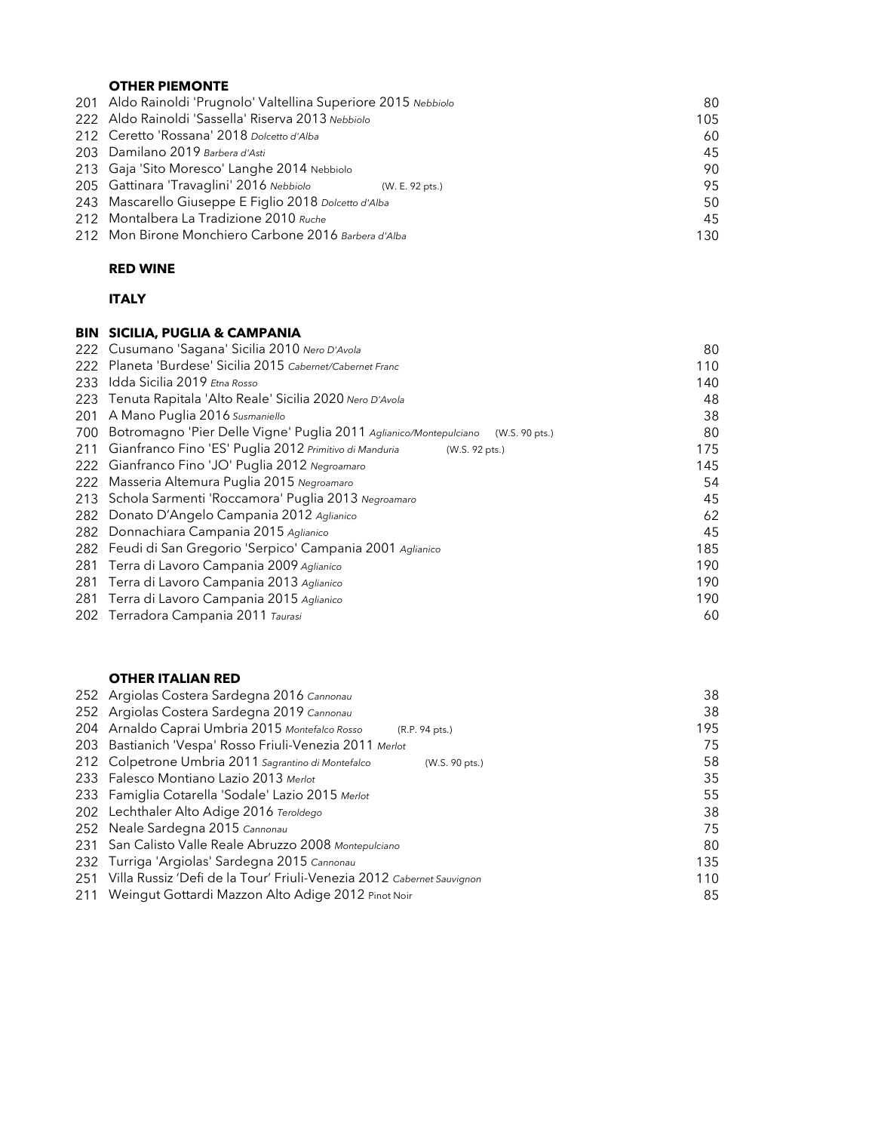# OTHER PIEMONTE

| 201 Aldo Rainoldi 'Prugnolo' Valtellina Superiore 2015 Nebbiolo | 80  |
|-----------------------------------------------------------------|-----|
| 222 Aldo Rainoldi 'Sassella' Riserva 2013 Nebbiolo              | 105 |
| 212 Ceretto 'Rossana' 2018 Dolcetto d'Alba                      | 60  |
| 203 Damilano 2019 Barbera d'Asti                                | 45  |
| 213 Gaja 'Sito Moresco' Langhe 2014 Nebbiolo                    | 90  |
| 205 Gattinara 'Travaglini' 2016 Nebbiolo<br>(W. E. 92 pts.)     | 95  |
| 243 Mascarello Giuseppe E Figlio 2018 Dolcetto d'Alba           | 50  |
| 212 Montalbera La Tradizione 2010 Ruche                         | 45  |
| 212 Mon Birone Monchiero Carbone 2016 Barbera d'Alba            | 130 |

# RED WINE

### ITALY

|      | <b>BIN SICILIA, PUGLIA &amp; CAMPANIA</b>                                           |     |
|------|-------------------------------------------------------------------------------------|-----|
|      | 222 Cusumano 'Sagana' Sicilia 2010 Nero D'Avola                                     | 80  |
| 222. | Planeta 'Burdese' Sicilia 2015 Cabernet/Cabernet Franc                              | 110 |
|      | 233 Idda Sicilia 2019 Etna Rosso                                                    | 140 |
|      | 223 Tenuta Rapitala 'Alto Reale' Sicilia 2020 Nero D'Avola                          | 48  |
| 201  | A Mano Puglia 2016 Susmaniello                                                      | 38  |
| 700  | Botromagno 'Pier Delle Vigne' Puglia 2011 Aglianico/Montepulciano<br>(W.S. 90 pts.) | 80  |
| 211  | Gianfranco Fino 'ES' Puglia 2012 Primitivo di Manduria<br>(W.S. 92 pts.)            | 175 |
|      | 222 Gianfranco Fino 'JO' Puglia 2012 Negroamaro                                     | 145 |
| 222  | Masseria Altemura Puglia 2015 Negroamaro                                            | 54  |
|      | 213 Schola Sarmenti 'Roccamora' Puglia 2013 Negroamaro                              | 45  |
|      | 282 Donato D'Angelo Campania 2012 Aglianico                                         | 62  |
|      | 282 Donnachiara Campania 2015 Aglianico                                             | 45  |
|      | 282 Feudi di San Gregorio 'Serpico' Campania 2001 Aglianico                         | 185 |
| 281  | Terra di Lavoro Campania 2009 Aglianico                                             | 190 |
| 281  | Terra di Lavoro Campania 2013 Aglianico                                             | 190 |
|      | 281 Terra di Lavoro Campania 2015 Aglianico                                         | 190 |
|      | 202 Terradora Campania 2011 Taurasi                                                 | 60  |

### OTHER ITALIAN RED

| 252 Argiolas Costera Sardegna 2016 Cannonau                               | 38  |
|---------------------------------------------------------------------------|-----|
| 252 Argiolas Costera Sardegna 2019 Cannonau                               | 38  |
| 204 Arnaldo Caprai Umbria 2015 Montefalco Rosso<br>(R.P. 94 pts.)         | 195 |
| 203 Bastianich 'Vespa' Rosso Friuli-Venezia 2011 Merlot                   | 75  |
| 212 Colpetrone Umbria 2011 Sagrantino di Montefalco<br>(W.S. 90 pts.)     | 58  |
| 233 Falesco Montiano Lazio 2013 Merlot                                    | 35  |
| 233 Famiglia Cotarella 'Sodale' Lazio 2015 Merlot                         | 55  |
| 202 Lechthaler Alto Adige 2016 Teroldego                                  | 38  |
| 252 Neale Sardegna 2015 Cannonau                                          | 75  |
| 231 San Calisto Valle Reale Abruzzo 2008 Montepulciano                    | 80  |
| 232 Turriga 'Argiolas' Sardegna 2015 Cannonau                             | 135 |
| 251 Villa Russiz 'Defi de la Tour' Friuli-Venezia 2012 Cabernet Sauvignon | 110 |
| Weingut Gottardi Mazzon Alto Adige 2012 Pinot Noir                        | 85  |
|                                                                           |     |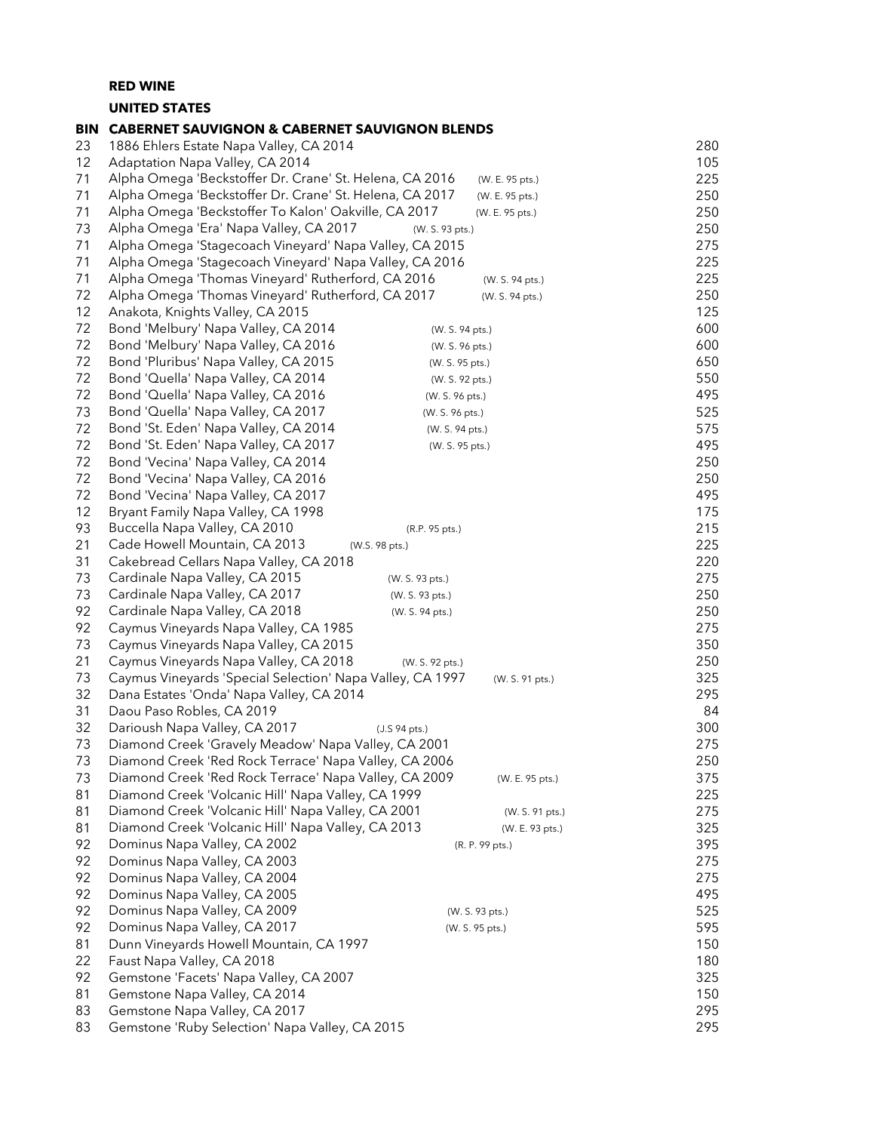UNITED STATES

| <b>BIN</b> | <b>CABERNET SAUVIGNON &amp; CABERNET SAUVIGNON BLENDS</b>                                          |                 |                 |            |
|------------|----------------------------------------------------------------------------------------------------|-----------------|-----------------|------------|
| 23         | 1886 Ehlers Estate Napa Valley, CA 2014                                                            |                 |                 | 280        |
| 12         | Adaptation Napa Valley, CA 2014                                                                    |                 |                 | 105        |
| 71         | Alpha Omega 'Beckstoffer Dr. Crane' St. Helena, CA 2016<br>(W. E. 95 pts.)                         |                 |                 | 225        |
| 71         | Alpha Omega 'Beckstoffer Dr. Crane' St. Helena, CA 2017                                            |                 | (W. E. 95 pts.) | 250        |
| 71         | Alpha Omega 'Beckstoffer To Kalon' Oakville, CA 2017                                               |                 | (W. E. 95 pts.) | 250        |
| 73         | Alpha Omega 'Era' Napa Valley, CA 2017                                                             | (W. S. 93 pts.) |                 | 250        |
| 71         | Alpha Omega 'Stagecoach Vineyard' Napa Valley, CA 2015                                             |                 |                 | 275        |
| 71         | Alpha Omega 'Stagecoach Vineyard' Napa Valley, CA 2016                                             |                 |                 | 225        |
| 71         | Alpha Omega 'Thomas Vineyard' Rutherford, CA 2016                                                  |                 | (W. S. 94 pts.) | 225        |
| 72         | Alpha Omega 'Thomas Vineyard' Rutherford, CA 2017                                                  |                 | (W. S. 94 pts.) | 250        |
| 12         | Anakota, Knights Valley, CA 2015                                                                   |                 |                 | 125        |
| 72         | Bond 'Melbury' Napa Valley, CA 2014                                                                | (W. S. 94 pts.) |                 | 600        |
| 72         | Bond 'Melbury' Napa Valley, CA 2016                                                                | (W. S. 96 pts.) |                 | 600        |
| 72         | Bond 'Pluribus' Napa Valley, CA 2015                                                               | (W. S. 95 pts.) |                 | 650        |
| 72         | Bond 'Quella' Napa Valley, CA 2014                                                                 | (W. S. 92 pts.) |                 | 550        |
| 72         | Bond 'Quella' Napa Valley, CA 2016                                                                 | (W. S. 96 pts.) |                 | 495        |
| 73         | Bond 'Quella' Napa Valley, CA 2017                                                                 | (W. S. 96 pts.) |                 | 525        |
| 72         | Bond 'St. Eden' Napa Valley, CA 2014                                                               | (W. S. 94 pts.) |                 | 575        |
| 72         | Bond 'St. Eden' Napa Valley, CA 2017                                                               | (W. S. 95 pts.) |                 | 495        |
| 72         | Bond 'Vecina' Napa Valley, CA 2014                                                                 |                 |                 | 250        |
| 72         | Bond 'Vecina' Napa Valley, CA 2016                                                                 |                 |                 | 250        |
| 72         | Bond 'Vecina' Napa Valley, CA 2017                                                                 |                 |                 | 495        |
| 12         | Bryant Family Napa Valley, CA 1998                                                                 |                 |                 | 175        |
| 93         | Buccella Napa Valley, CA 2010                                                                      | (R.P. 95 pts.)  |                 | 215        |
| 21         | Cade Howell Mountain, CA 2013<br>(W.S. 98 pts.)                                                    |                 |                 | 225        |
| 31         | Cakebread Cellars Napa Valley, CA 2018                                                             |                 |                 | 220        |
| 73         | Cardinale Napa Valley, CA 2015<br>(W. S. 93 pts.)                                                  |                 |                 | 275        |
| 73         | Cardinale Napa Valley, CA 2017<br>(W. S. 93 pts.)                                                  |                 |                 | 250        |
| 92         | Cardinale Napa Valley, CA 2018                                                                     | (W. S. 94 pts.) |                 | 250        |
| 92         | Caymus Vineyards Napa Valley, CA 1985                                                              |                 |                 | 275        |
| 73         | Caymus Vineyards Napa Valley, CA 2015                                                              |                 |                 | 350<br>250 |
| 21<br>73   | Caymus Vineyards Napa Valley, CA 2018<br>Caymus Vineyards 'Special Selection' Napa Valley, CA 1997 | (W. S. 92 pts.) |                 | 325        |
| 32         | Dana Estates 'Onda' Napa Valley, CA 2014                                                           |                 | (W. S. 91 pts.) | 295        |
| 31         | Daou Paso Robles, CA 2019                                                                          |                 |                 | 84         |
| 32         | Darioush Napa Valley, CA 2017<br>(J.S 94 pts.)                                                     |                 |                 | 300        |
| 73         | Diamond Creek 'Gravely Meadow' Napa Valley, CA 2001                                                |                 |                 | 275        |
| 73         | Diamond Creek 'Red Rock Terrace' Napa Valley, CA 2006                                              |                 |                 | 250        |
| 73         | Diamond Creek 'Red Rock Terrace' Napa Valley, CA 2009                                              |                 | (W. E. 95 pts.) | 375        |
| 81         | Diamond Creek 'Volcanic Hill' Napa Valley, CA 1999                                                 |                 |                 | 225        |
| 81         | Diamond Creek 'Volcanic Hill' Napa Valley, CA 2001                                                 |                 | (W. S. 91 pts.) | 275        |
| 81         | Diamond Creek 'Volcanic Hill' Napa Valley, CA 2013                                                 |                 | (W. E. 93 pts.) | 325        |
| 92         | Dominus Napa Valley, CA 2002                                                                       |                 | (R. P. 99 pts.) | 395        |
| 92         | Dominus Napa Valley, CA 2003                                                                       |                 |                 | 275        |
| 92         | Dominus Napa Valley, CA 2004                                                                       |                 |                 | 275        |
| 92         | Dominus Napa Valley, CA 2005                                                                       |                 |                 | 495        |
| 92         | Dominus Napa Valley, CA 2009                                                                       |                 | (W. S. 93 pts.) | 525        |
| 92         | Dominus Napa Valley, CA 2017                                                                       |                 | (W. S. 95 pts.) | 595        |
| 81         | Dunn Vineyards Howell Mountain, CA 1997                                                            |                 |                 | 150        |
| 22         | Faust Napa Valley, CA 2018                                                                         |                 |                 | 180        |
| 92         | Gemstone 'Facets' Napa Valley, CA 2007                                                             |                 |                 | 325        |
| 81         | Gemstone Napa Valley, CA 2014                                                                      |                 |                 | 150        |
| 83         | Gemstone Napa Valley, CA 2017                                                                      |                 |                 | 295        |
| 83         | Gemstone 'Ruby Selection' Napa Valley, CA 2015                                                     |                 |                 | 295        |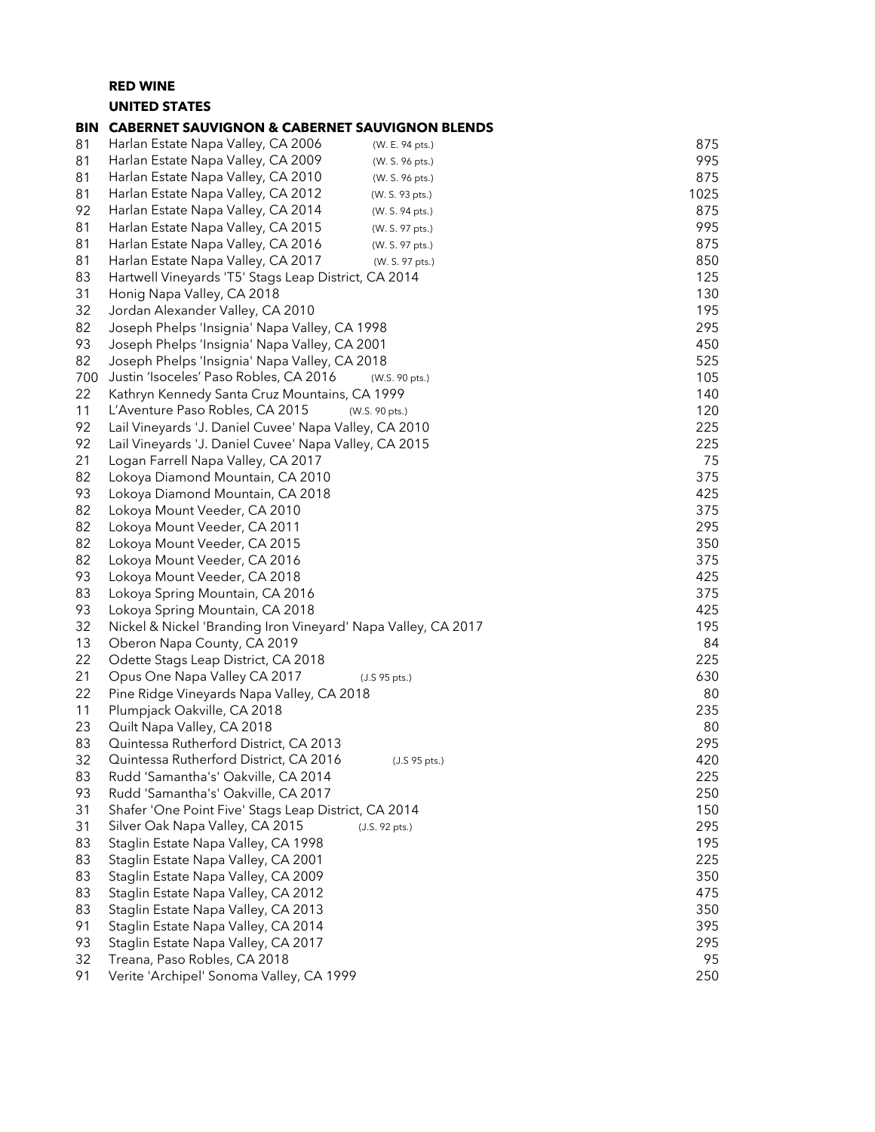### RED WINE UNITED STATES

#### BIN CABERNET SAUVIGNON & CABERNET SAUVIGNON BLENDS 81 Harlan Estate Napa Valley, CA 2006 (W. E. 94 pts.) 875 81 Harlan Estate Napa Valley, CA 2009 (W. S. 96 pts.) 995 81 Harlan Estate Napa Valley, CA 2010 (W. s. 96 pts.) 875 81 Harlan Estate Napa Valley, CA 2012 (W. S. 93 pts.) 61 (W. S. 93 pts.) 61 1025 Harlan Estate Napa Valley, CA 2014 (W. S. 94 pts.) 875 81 Harlan Estate Napa Valley, CA 2015 (W. S. 97 pts.) 995 81 Harlan Estate Napa Valley, CA 2016 (W. S. 97 pts.) 875 81 Harlan Estate Napa Valley, CA 2017 (W. s. 97 pts.) 850 Hartwell Vineyards 'T5' Stags Leap District, CA 2014 125 31 Honig Napa Valley, CA 2018 130 32 Jordan Alexander Valley, CA 2010 195 Joseph Phelps 'Insignia' Napa Valley, CA 1998 295 Joseph Phelps 'Insignia' Napa Valley, CA 2001 450 82 Joseph Phelps 'Insignia' Napa Valley, CA 2018 525 Justin 'Isoceles' Paso Robles, CA 2016 (W.S. 90 pts.) 105 Kathryn Kennedy Santa Cruz Mountains, CA 1999 140 L'Aventure Paso Robles, CA 2015 (W.S. 90 pts.) 120 Lail Vineyards 'J. Daniel Cuvee' Napa Valley, CA 2010 225 Lail Vineyards 'J. Daniel Cuvee' Napa Valley, CA 2015 225 Logan Farrell Napa Valley, CA 2017 75 82 Lokoya Diamond Mountain, CA 2010 375 Lokoya Diamond Mountain, CA 2018 425 82 Lokoya Mount Veeder, CA 2010 375 Lokoya Mount Veeder, CA 2011 295 Lokoya Mount Veeder, CA 2015 350 82 Lokoya Mount Veeder, CA 2016 375 Lokoya Mount Veeder, CA 2018 425 Lokoya Spring Mountain, CA 2016 375 Lokoya Spring Mountain, CA 2018 425 Nickel & Nickel 'Branding Iron Vineyard' Napa Valley, CA 2017 195 13 Oberon Napa County, CA 2019 **84**  Odette Stags Leap District, CA 2018 225 Opus One Napa Valley CA 2017 (J.S 95 pts.) 630 22 Pine Ridge Vineyards Napa Valley, CA 2018 80 Plumpjack Oakville, CA 2018 235 Quilt Napa Valley, CA 2018 80 Quintessa Rutherford District, CA 2013 295 Quintessa Rutherford District, CA 2016 (J.S 95 pts.) 420 Rudd 'Samantha's' Oakville, CA 2014 225 Rudd 'Samantha's' Oakville, CA 2017 250 Shafer 'One Point Five' Stags Leap District, CA 2014 150 Silver Oak Napa Valley, CA 2015 (J.S. 92 pts.) 295 Staglin Estate Napa Valley, CA 1998 195 Staglin Estate Napa Valley, CA 2001 225 Staglin Estate Napa Valley, CA 2009 350 Staglin Estate Napa Valley, CA 2012 475 83 Staglin Estate Napa Valley, CA 2013 350 Staglin Estate Napa Valley, CA 2013 91 Staglin Estate Napa Valley, CA 2014 395 Staglin Estate Napa Valley, CA 2017 295 Treana, Paso Robles, CA 2018 95 Verite 'Archipel' Sonoma Valley, CA 1999 250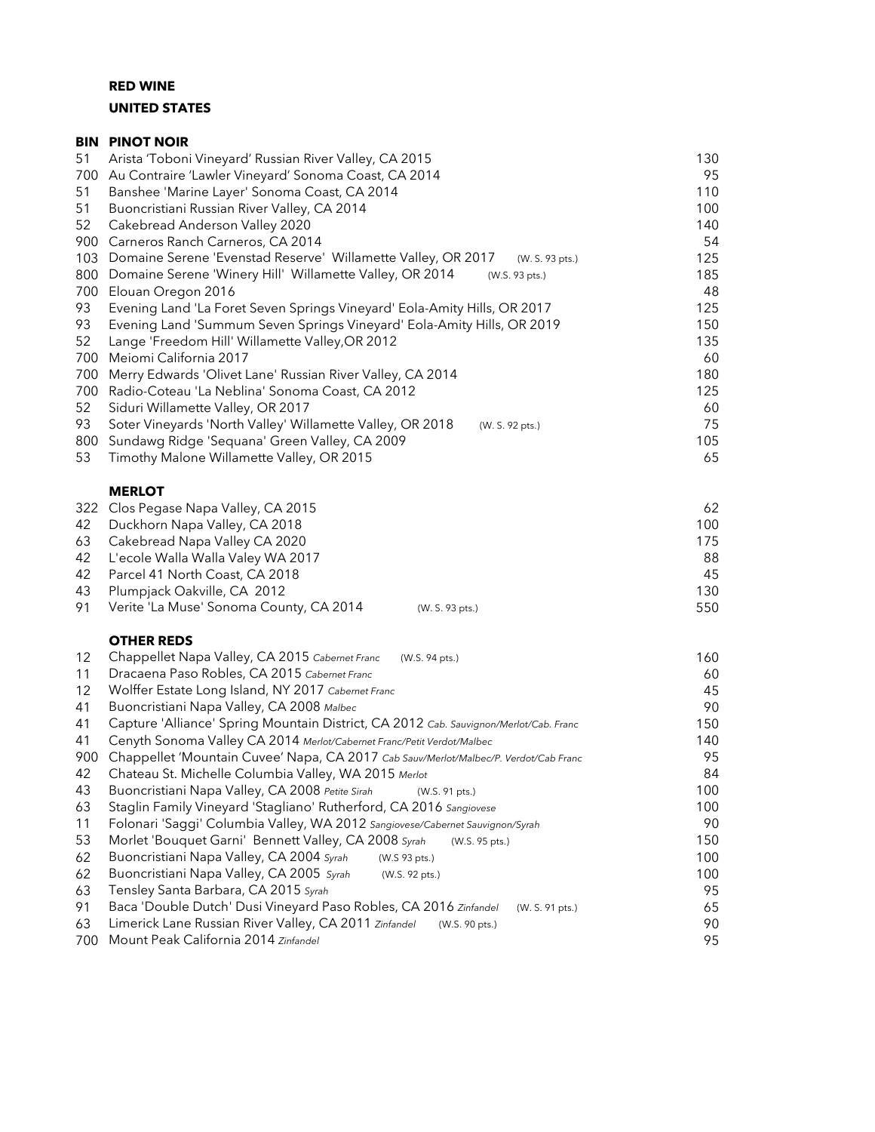# RED WINE UNITED STATES

|     | <b>BIN PINOT NOIR</b>                                                           |     |
|-----|---------------------------------------------------------------------------------|-----|
| 51  | Arista 'Toboni Vineyard' Russian River Valley, CA 2015                          | 130 |
| 700 | Au Contraire 'Lawler Vineyard' Sonoma Coast, CA 2014                            | 95  |
| 51  | Banshee 'Marine Layer' Sonoma Coast, CA 2014                                    | 110 |
| 51  | Buoncristiani Russian River Valley, CA 2014                                     | 100 |
| 52  | Cakebread Anderson Valley 2020                                                  | 140 |
| 900 | Carneros Ranch Carneros, CA 2014                                                | 54  |
| 103 | Domaine Serene 'Evenstad Reserve' Willamette Valley, OR 2017<br>(W. S. 93 pts.) | 125 |
| 800 | Domaine Serene 'Winery Hill' Willamette Valley, OR 2014<br>(W.S. 93 pts.)       | 185 |
| 700 | Elouan Oregon 2016                                                              | 48  |
| 93  | Evening Land 'La Foret Seven Springs Vineyard' Eola-Amity Hills, OR 2017        | 125 |
| 93  | Evening Land 'Summum Seven Springs Vineyard' Eola-Amity Hills, OR 2019          | 150 |
| 52  | Lange 'Freedom Hill' Willamette Valley, OR 2012                                 | 135 |
| 700 | Meiomi California 2017                                                          | 60  |
| 700 | Merry Edwards 'Olivet Lane' Russian River Valley, CA 2014                       | 180 |
| 700 | Radio-Coteau 'La Neblina' Sonoma Coast, CA 2012                                 | 125 |
| 52  | Siduri Willamette Valley, OR 2017                                               | 60  |
| 93  | Soter Vineyards 'North Valley' Willamette Valley, OR 2018<br>(W. S. 92 pts.)    | 75  |
| 800 | Sundawg Ridge 'Sequana' Green Valley, CA 2009                                   | 105 |
| 53  | Timothy Malone Willamette Valley, OR 2015                                       | 65  |
|     | <b>MERLOT</b>                                                                   |     |
| 322 | Clos Pegase Napa Valley, CA 2015                                                | 62  |
| 42  | Duckhorn Napa Valley, CA 2018                                                   | 100 |
| 63  | Cakebread Napa Valley CA 2020                                                   | 175 |
| 42  | L'ecole Walla Walla Valey WA 2017                                               | 88  |
| 42  | Parcel 41 North Coast, CA 2018                                                  | 45  |
| 43  | Plumpjack Oakville, CA 2012                                                     | 130 |
| 91  | Verite 'La Muse' Sonoma County, CA 2014<br>(W. S. 93 pts.)                      | 550 |

### OTHER REDS

| 12  | Chappellet Napa Valley, CA 2015 Cabernet Franc<br>(W.S. 94 pts.)                      | 160 |
|-----|---------------------------------------------------------------------------------------|-----|
| 11  | Dracaena Paso Robles, CA 2015 Cabernet Franc                                          | 60  |
| 12  | Wolffer Estate Long Island, NY 2017 Cabernet Franc                                    | 45  |
| 41  | Buoncristiani Napa Valley, CA 2008 Malbec                                             | 90  |
| 41  | Capture 'Alliance' Spring Mountain District, CA 2012 Cab. Sauvignon/Merlot/Cab. Franc | 150 |
| 41  | Cenyth Sonoma Valley CA 2014 Merlot/Cabernet Franc/Petit Verdot/Malbec                | 140 |
| 900 | Chappellet 'Mountain Cuvee' Napa, CA 2017 Cab Sauv/Merlot/Malbec/P. Verdot/Cab Franc  | 95  |
| 42  | Chateau St. Michelle Columbia Valley, WA 2015 Merlot                                  | 84  |
| 43  | Buoncristiani Napa Valley, CA 2008 Petite Sirah<br>(W.S. 91 pts.)                     | 100 |
| 63  | Staglin Family Vineyard 'Stagliano' Rutherford, CA 2016 Sangiovese                    | 100 |
| 11  | Folonari 'Saggi' Columbia Valley, WA 2012 Sangiovese/Cabernet Sauvignon/Syrah         | 90  |
| 53  | Morlet 'Bouquet Garni' Bennett Valley, CA 2008 Syrah<br>(W.S. 95 pts.)                | 150 |
| 62  | Buoncristiani Napa Valley, CA 2004 Syrah<br>(W.S 93 pts.)                             | 100 |
| 62  | Buoncristiani Napa Valley, CA 2005 Syrah<br>(W.S. 92 pts.)                            | 100 |
| 63  | Tensley Santa Barbara, CA 2015 Syrah                                                  | 95  |
| 91  | Baca 'Double Dutch' Dusi Vineyard Paso Robles, CA 2016 Zinfandel<br>(W. S. 91 pts.)   | 65  |
| 63  | Limerick Lane Russian River Valley, CA 2011 Zinfandel<br>(W.S. 90 pts.)               | 90  |
| 700 | Mount Peak California 2014 Zinfandel                                                  | 95  |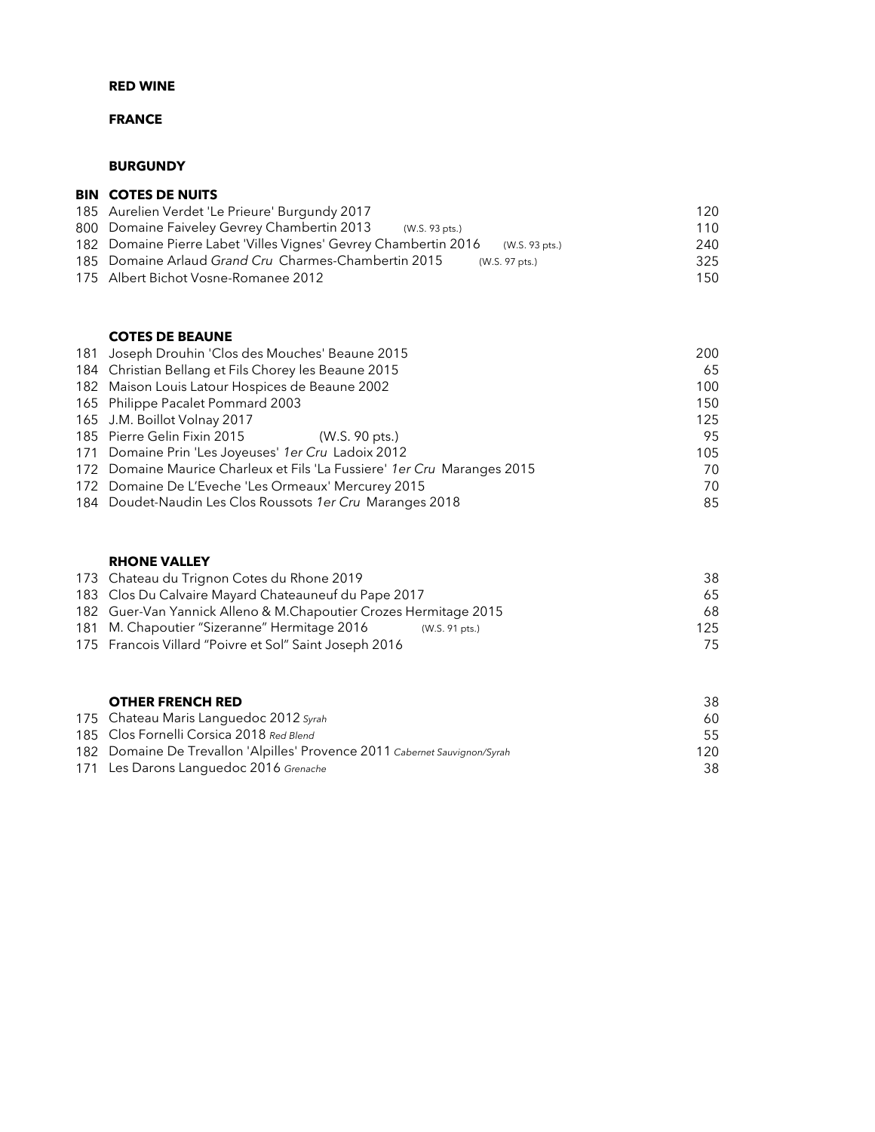# FRANCE

### BURGUNDY

| <b>BIN COTES DE NUITS</b>                      |     |
|------------------------------------------------|-----|
| 185 Aurelien Verdet 'Le Prieure' Burgundy 2017 | 120 |

| $100.7$ . The strong form of $0.001$ and $0.001$ and $0.001$ and $0.001$ and $0.001$ |     |
|--------------------------------------------------------------------------------------|-----|
| 800 Domaine Faiveley Gevrey Chambertin 2013<br>(W.S. 93 pts.)                        | 110 |
| 182 Domaine Pierre Labet 'Villes Vignes' Gevrey Chambertin 2016<br>(W.S. 93 pts.)    | 240 |
| 185 Domaine Arlaud Grand Cru Charmes-Chambertin 2015<br>(W.S. 97 pts.)               | 325 |
| 175 Albert Bichot Vosne-Romanee 2012                                                 | 150 |
|                                                                                      |     |

### COTES DE BEAUNE

| 181 Joseph Drouhin 'Clos des Mouches' Beaune 2015                        | 200 |
|--------------------------------------------------------------------------|-----|
| 184 Christian Bellang et Fils Chorey les Beaune 2015                     | 65  |
| 182 Maison Louis Latour Hospices de Beaune 2002                          | 100 |
| 165 Philippe Pacalet Pommard 2003                                        | 150 |
| 165 J.M. Boillot Volnay 2017                                             | 125 |
| 185 Pierre Gelin Fixin 2015<br>(W.S. 90 pts.)                            | 95  |
| 171 Domaine Prin 'Les Joyeuses' 1er Cru Ladoix 2012                      | 105 |
| 172 Domaine Maurice Charleux et Fils 'La Fussiere' 1er Cru Maranges 2015 | 70  |
| 172 Domaine De L'Eveche 'Les Ormeaux' Mercurey 2015                      | 70  |
| 184 Doudet-Naudin Les Clos Roussots 1er Cru Maranges 2018                | 85  |

# RHONE VALLEY

| 173 Chateau du Trignon Cotes du Rhone 2019                       |                | 38      |
|------------------------------------------------------------------|----------------|---------|
| 183 Clos Du Calvaire Mayard Chateauneuf du Pape 2017             |                | 65      |
| 182 Guer-Van Yannick Alleno & M.Chapoutier Crozes Hermitage 2015 |                | 68.     |
| 181 M. Chapoutier "Sizeranne" Hermitage 2016                     | (W.S. 91 pts.) | $125 -$ |
| 175 Francois Villard "Poivre et Sol" Saint Joseph 2016           |                | 75.     |

| <b>OTHER FRENCH RED</b>                                                    | 38   |
|----------------------------------------------------------------------------|------|
| 175 Chateau Maris Languedoc 2012 Syrah                                     | 60.  |
| 185 Clos Fornelli Corsica 2018 Red Blend                                   | 55.  |
| 182 Domaine De Trevallon 'Alpilles' Provence 2011 Cabernet Sauvignon/Syrah | 120. |
| 171 Les Darons Languedoc 2016 Grenache                                     | 38   |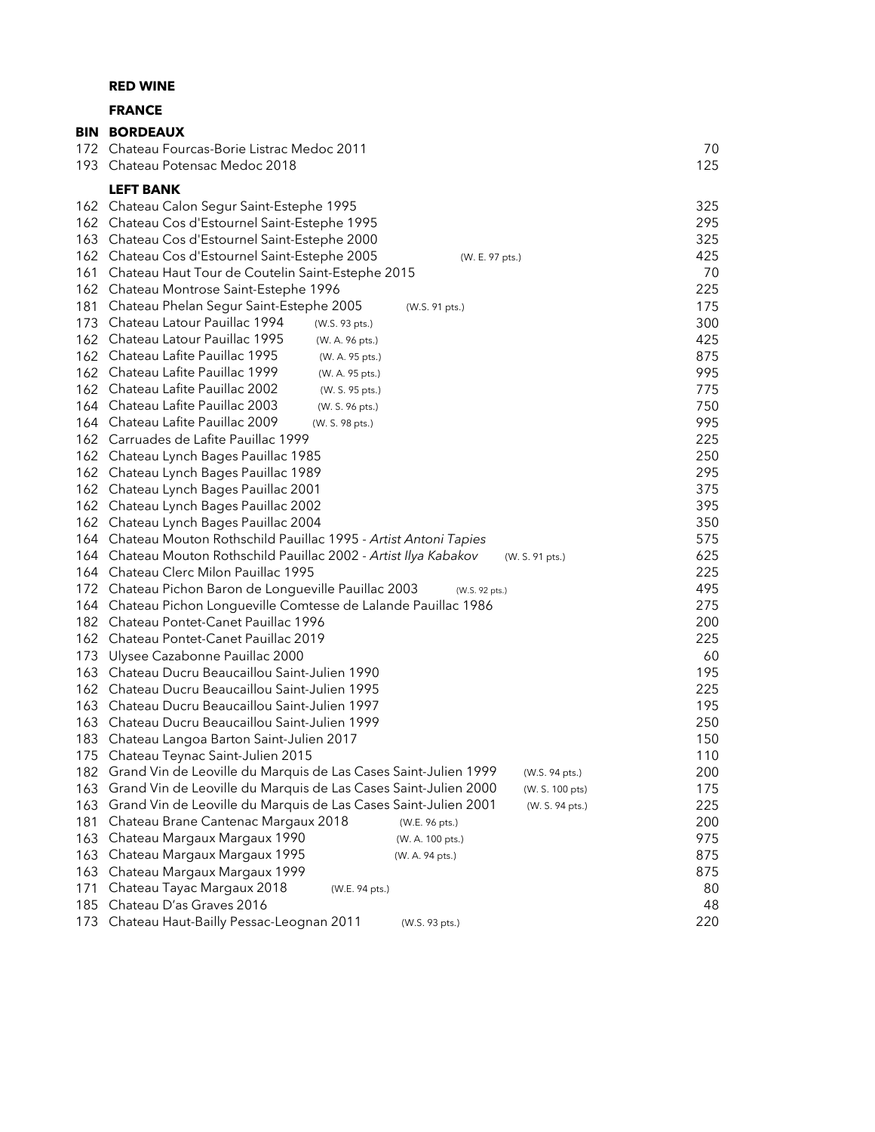### FRANCE

|            | <b>BIN BORDEAUX</b>                                                                                                             |            |
|------------|---------------------------------------------------------------------------------------------------------------------------------|------------|
|            | 172 Chateau Fourcas-Borie Listrac Medoc 2011                                                                                    | 70         |
| 193        | Chateau Potensac Medoc 2018                                                                                                     | 125        |
|            | <b>LEFT BANK</b>                                                                                                                |            |
|            | 162 Chateau Calon Segur Saint-Estephe 1995                                                                                      | 325        |
|            | 162 Chateau Cos d'Estournel Saint-Estephe 1995                                                                                  | 295        |
| 163        | Chateau Cos d'Estournel Saint-Estephe 2000                                                                                      | 325        |
|            | 162 Chateau Cos d'Estournel Saint-Estephe 2005<br>(W. E. 97 pts.)                                                               | 425        |
| 161        | Chateau Haut Tour de Coutelin Saint-Estephe 2015                                                                                | 70         |
| 162        | Chateau Montrose Saint-Estephe 1996                                                                                             | 225        |
| 181        | Chateau Phelan Segur Saint-Estephe 2005<br>(W.S. 91 pts.)                                                                       | 175        |
| 173        | Chateau Latour Pauillac 1994<br>(W.S. 93 pts.)                                                                                  | 300        |
|            | 162 Chateau Latour Pauillac 1995<br>(W. A. 96 pts.)                                                                             | 425        |
|            | 162 Chateau Lafite Pauillac 1995<br>(W. A. 95 pts.)                                                                             | 875        |
|            | 162 Chateau Lafite Pauillac 1999<br>(W. A. 95 pts.)                                                                             | 995        |
|            | 162 Chateau Lafite Pauillac 2002<br>(W. S. 95 pts.)                                                                             | 775        |
|            | 164 Chateau Lafite Pauillac 2003<br>(W. S. 96 pts.)                                                                             | 750        |
| 164        | Chateau Lafite Pauillac 2009<br>(W. S. 98 pts.)                                                                                 | 995        |
|            | 162 Carruades de Lafite Pauillac 1999                                                                                           | 225        |
| 162        | Chateau Lynch Bages Pauillac 1985                                                                                               | 250        |
| 162        | Chateau Lynch Bages Pauillac 1989                                                                                               | 295        |
| 162        | Chateau Lynch Bages Pauillac 2001                                                                                               | 375        |
| 162        | Chateau Lynch Bages Pauillac 2002                                                                                               | 395        |
| 162        | Chateau Lynch Bages Pauillac 2004                                                                                               | 350        |
| 164<br>164 | Chateau Mouton Rothschild Pauillac 1995 - Artist Antoni Tapies<br>Chateau Mouton Rothschild Pauillac 2002 - Artist Ilya Kabakov | 575<br>625 |
| 164        | (W. S. 91 pts.)<br>Chateau Clerc Milon Pauillac 1995                                                                            | 225        |
|            | 172 Chateau Pichon Baron de Longueville Pauillac 2003<br>(W.S. 92 pts.)                                                         | 495        |
| 164        | Chateau Pichon Longueville Comtesse de Lalande Pauillac 1986                                                                    | 275        |
| 182        | Chateau Pontet-Canet Pauillac 1996                                                                                              | 200        |
| 162        | Chateau Pontet-Canet Pauillac 2019                                                                                              | 225        |
| 173        | Ulysee Cazabonne Pauillac 2000                                                                                                  | 60         |
| 163        | Chateau Ducru Beaucaillou Saint-Julien 1990                                                                                     | 195        |
|            | 162 Chateau Ducru Beaucaillou Saint-Julien 1995                                                                                 | 225        |
| 163        | Chateau Ducru Beaucaillou Saint-Julien 1997                                                                                     | 195        |
| 163        | Chateau Ducru Beaucaillou Saint-Julien 1999                                                                                     | 250        |
|            | 183 Chateau Langoa Barton Saint-Julien 2017                                                                                     | 150        |
|            | 175 Chateau Teynac Saint-Julien 2015                                                                                            | 110        |
|            | 182 Grand Vin de Leoville du Marquis de Las Cases Saint-Julien 1999<br>(W.S. 94 pts.)                                           | 200        |
| 163        | Grand Vin de Leoville du Marquis de Las Cases Saint-Julien 2000<br>(W. S. 100 pts)                                              | 175        |
| 163        | Grand Vin de Leoville du Marquis de Las Cases Saint-Julien 2001<br>(W. S. 94 pts.)                                              | 225        |
| 181        | Chateau Brane Cantenac Margaux 2018<br>(W.E. 96 pts.)                                                                           | 200        |
| 163        | Chateau Margaux Margaux 1990<br>(W. A. 100 pts.)                                                                                | 975        |
| 163        | Chateau Margaux Margaux 1995<br>(W. A. 94 pts.)                                                                                 | 875        |
| 163        | Chateau Margaux Margaux 1999                                                                                                    | 875        |
| 171        | Chateau Tayac Margaux 2018<br>(W.E. 94 pts.)                                                                                    | 80         |
| 185        | Chateau D'as Graves 2016                                                                                                        | 48         |
| 173        | Chateau Haut-Bailly Pessac-Leognan 2011<br>(W.S. 93 pts.)                                                                       | 220        |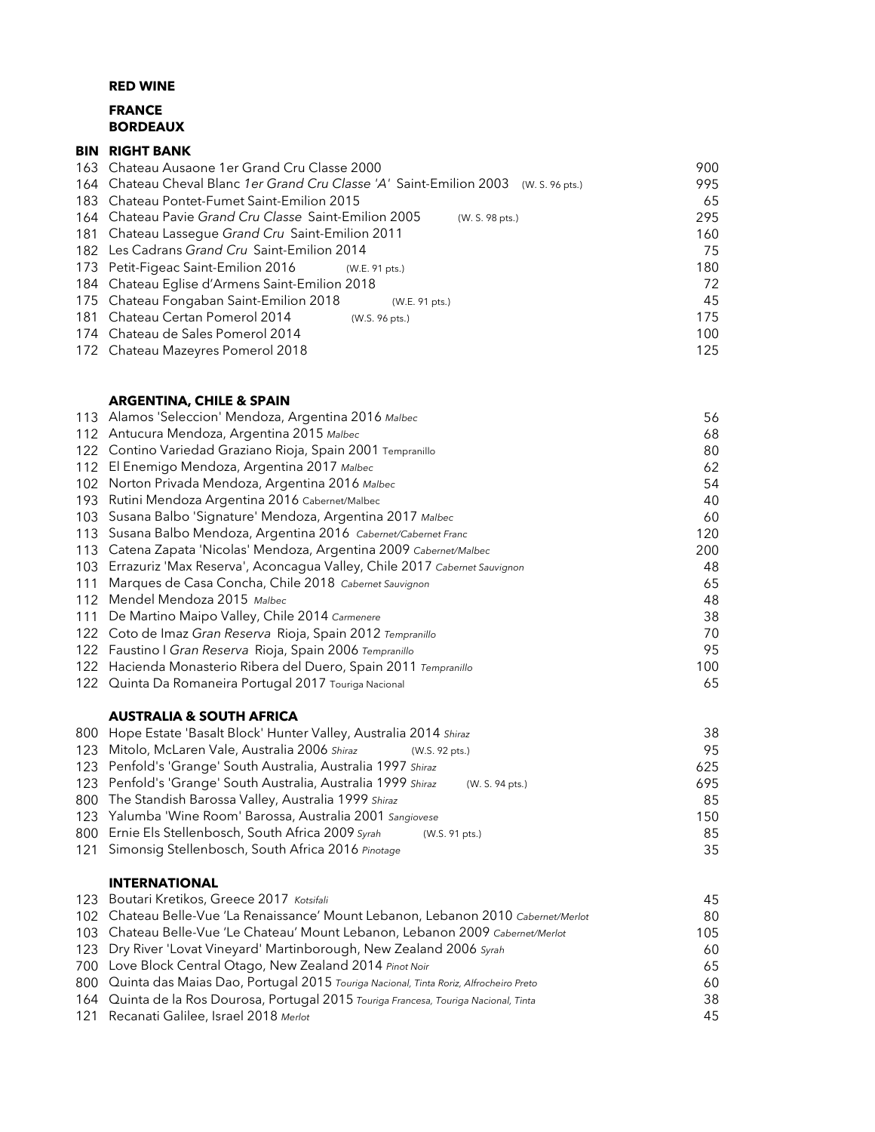# RED WINE FRANCE BORDEAUX

### BIN RIGHT BANK

| 163 Chateau Ausaone 1 er Grand Cru Classe 2000                                       | 900 |
|--------------------------------------------------------------------------------------|-----|
| 164 Chateau Cheval Blanc 1er Grand Cru Classe 'A' Saint-Emilion 2003 (W. S. 96 pts.) | 995 |
| 183 Chateau Pontet-Fumet Saint-Emilion 2015                                          | 65  |
| 164 Chateau Pavie Grand Cru Classe Saint-Emilion 2005<br>(W. S. 98 pts.)             | 295 |
| 181 Chateau Lassegue Grand Cru Saint-Emilion 2011                                    | 160 |
| 182 Les Cadrans Grand Cru Saint-Emilion 2014                                         | 75  |
| 173 Petit-Figeac Saint-Emilion 2016<br>(W.E. 91 pts.)                                | 180 |
| 184 Chateau Eglise d'Armens Saint-Emilion 2018                                       | 72  |
| 175 Chateau Fongaban Saint-Emilion 2018<br>(W.E. 91 pts.)                            | 45  |
| 181 Chateau Certan Pomerol 2014<br>(W.S. 96 pts.)                                    | 175 |
| 174 Chateau de Sales Pomerol 2014                                                    | 100 |
| 172 Chateau Mazeyres Pomerol 2018                                                    | 125 |

### ARGENTINA, CHILE & SPAIN

|     | 113 Alamos 'Seleccion' Mendoza, Argentina 2016 Malbec                        | 56  |
|-----|------------------------------------------------------------------------------|-----|
|     | 112 Antucura Mendoza, Argentina 2015 Malbec                                  | 68  |
|     | 122 Contino Variedad Graziano Rioja, Spain 2001 Tempranillo                  | 80  |
|     | 112 El Enemigo Mendoza, Argentina 2017 Malbec                                | 62  |
|     | 102 Norton Privada Mendoza, Argentina 2016 Malbec                            | 54  |
|     | 193 Rutini Mendoza Argentina 2016 Cabernet/Malbec                            | 40  |
|     | 103 Susana Balbo 'Signature' Mendoza, Argentina 2017 Malbec                  | 60  |
|     | 113 Susana Balbo Mendoza, Argentina 2016 Cabernet/Cabernet Franc             | 120 |
|     | 113 Catena Zapata 'Nicolas' Mendoza, Argentina 2009 Cabernet/Malbec          | 200 |
|     | 103 Errazuriz 'Max Reserva', Aconcagua Valley, Chile 2017 Cabernet Sauvignon | 48  |
| 111 | Marques de Casa Concha, Chile 2018 Cabernet Sauvignon                        | 65  |
|     | 112 Mendel Mendoza 2015 Malbec                                               | 48  |
|     | 111 De Martino Maipo Valley, Chile 2014 Carmenere                            | 38  |
|     | 122 Coto de Imaz Gran Reserva Rioja, Spain 2012 Tempranillo                  | 70  |
|     | 122 Faustino I Gran Reserva Rioja, Spain 2006 Tempranillo                    | 95  |
|     | 122 Hacienda Monasterio Ribera del Duero, Spain 2011 Tempranillo             | 100 |
|     | 122 Quinta Da Romaneira Portugal 2017 Touriga Nacional                       | 65  |

### AUSTRALIA & SOUTH AFRICA

| 800 Hope Estate 'Basalt Block' Hunter Valley, Australia 2014 Shiraz |                 | 38  |
|---------------------------------------------------------------------|-----------------|-----|
| 123 Mitolo, McLaren Vale, Australia 2006 Shiraz                     | (W.S. 92 pts.)  | 95  |
| 123 Penfold's 'Grange' South Australia, Australia 1997 Shiraz       |                 | 625 |
| 123 Penfold's 'Grange' South Australia, Australia 1999 Shiraz       | (W. S. 94 pts.) | 695 |
| 800 The Standish Barossa Valley, Australia 1999 Shiraz              |                 | 85  |
| 123 Yalumba 'Wine Room' Barossa, Australia 2001 Sangiovese          |                 | 150 |
| 800 Ernie Els Stellenbosch, South Africa 2009 Syrah                 | (W.S. 91 pts.)  | 85  |
| 121 Simonsig Stellenbosch, South Africa 2016 Pinotage               |                 | 35  |
|                                                                     |                 |     |

#### INTERNATIONAL

| 123 Boutari Kretikos, Greece 2017 Kotsifali                                              | 45  |
|------------------------------------------------------------------------------------------|-----|
| 102 Chateau Belle-Vue 'La Renaissance' Mount Lebanon, Lebanon 2010 Cabernet/Merlot       | 80  |
| 103 Chateau Belle-Vue 'Le Chateau' Mount Lebanon, Lebanon 2009 Cabernet/Merlot           | 105 |
| 123 Dry River 'Lovat Vineyard' Martinborough, New Zealand 2006 Syrah                     | 60  |
| 700 Love Block Central Otago, New Zealand 2014 Pinot Noir                                | 65  |
| 800 Quinta das Maias Dao, Portugal 2015 Touriga Nacional, Tinta Roriz, Alfrocheiro Preto | 60  |
| 164 Quinta de la Ros Dourosa, Portugal 2015 Touriga Francesa, Touriga Nacional, Tinta    | 38  |
| 121 Recanati Galilee, Israel 2018 Merlot                                                 | 45  |